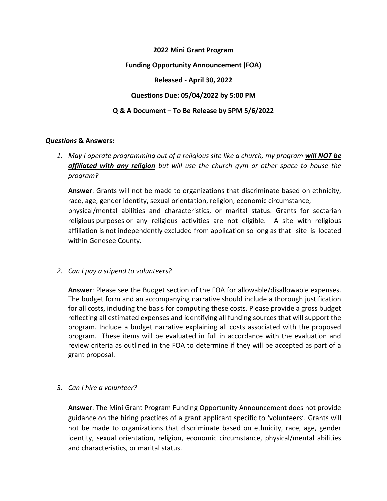# **2022 Mini Grant Program Funding Opportunity Announcement (FOA) Released - April 30, 2022 Questions Due: 05/04/2022 by 5:00 PM Q & A Document – To Be Release by 5PM 5/6/2022**

## *Questions* **& Answers:**

*1. May I operate programming out of a religious site like a church, my program will NOT be affiliated with any religion but will use the church gym or other space to house the program?*

**Answer**: Grants will not be made to organizations that discriminate based on ethnicity, race, age, gender identity, sexual orientation, religion, economic circumstance, physical/mental abilities and characteristics, or marital status. Grants for sectarian religious purposes or any religious activities are not eligible. A site with religious affiliation is not independently excluded from application so long as that site is located within Genesee County.

#### *2. Can I pay a stipend to volunteers?*

**Answer**: Please see the Budget section of the FOA for allowable/disallowable expenses. The budget form and an accompanying narrative should include a thorough justification for all costs, including the basis for computing these costs. Please provide a gross budget reflecting all estimated expenses and identifying all funding sources that will support the program. Include a budget narrative explaining all costs associated with the proposed program. These items will be evaluated in full in accordance with the evaluation and review criteria as outlined in the FOA to determine if they will be accepted as part of a grant proposal.

#### *3. Can I hire a volunteer?*

**Answer**: The Mini Grant Program Funding Opportunity Announcement does not provide guidance on the hiring practices of a grant applicant specific to 'volunteers'. Grants will not be made to organizations that discriminate based on ethnicity, race, age, gender identity, sexual orientation, religion, economic circumstance, physical/mental abilities and characteristics, or marital status.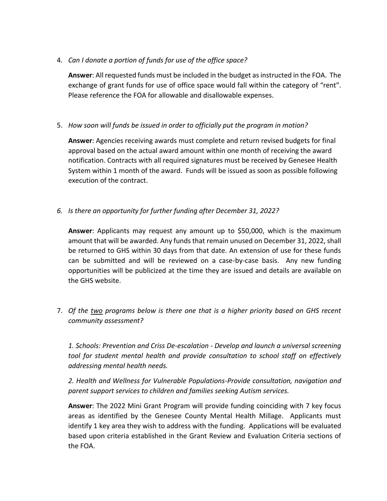4. *Can I donate a portion of funds for use of the office space?*

**Answer**: All requested funds must be included in the budget as instructed in the FOA. The exchange of grant funds for use of office space would fall within the category of "rent". Please reference the FOA for allowable and disallowable expenses.

5. *How soon will funds be issued in order to officially put the program in motion?*

**Answer**: Agencies receiving awards must complete and return revised budgets for final approval based on the actual award amount within one month of receiving the award notification. Contracts with all required signatures must be received by Genesee Health System within 1 month of the award. Funds will be issued as soon as possible following execution of the contract.

*6. Is there an opportunity for further funding after December 31, 2022?*

**Answer**: Applicants may request any amount up to \$50,000, which is the maximum amount that will be awarded. Any funds that remain unused on December 31, 2022, shall be returned to GHS within 30 days from that date. An extension of use for these funds can be submitted and will be reviewed on a case-by-case basis. Any new funding opportunities will be publicized at the time they are issued and details are available on the GHS website.

7. *Of the two programs below is there one that is a higher priority based on GHS recent community assessment?* 

*1. Schools: Prevention and Criss De-escalation - Develop and launch a universal screening tool for student mental health and provide consultation to school staff on effectively addressing mental health needs.*

*2. Health and Wellness for Vulnerable Populations-Provide consultation, navigation and parent support services to children and families seeking Autism services.*

**Answer**: The 2022 Mini Grant Program will provide funding coinciding with 7 key focus areas as identified by the Genesee County Mental Health Millage. Applicants must identify 1 key area they wish to address with the funding. Applications will be evaluated based upon criteria established in the Grant Review and Evaluation Criteria sections of the FOA.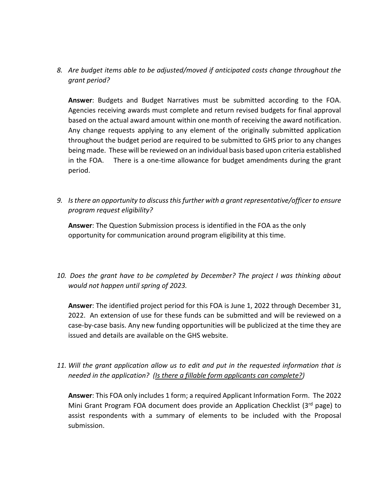*8. Are budget items able to be adjusted/moved if anticipated costs change throughout the grant period?*

**Answer**: Budgets and Budget Narratives must be submitted according to the FOA. Agencies receiving awards must complete and return revised budgets for final approval based on the actual award amount within one month of receiving the award notification. Any change requests applying to any element of the originally submitted application throughout the budget period are required to be submitted to GHS prior to any changes being made. These will be reviewed on an individual basis based upon criteria established in the FOA. There is a one-time allowance for budget amendments during the grant period.

*9. Is there an opportunity to discuss this further with a grant representative/officer to ensure program request eligibility?*

**Answer**: The Question Submission process is identified in the FOA as the only opportunity for communication around program eligibility at this time.

*10. Does the grant have to be completed by December? The project I was thinking about would not happen until spring of 2023.*

**Answer**: The identified project period for this FOA is June 1, 2022 through December 31, 2022. An extension of use for these funds can be submitted and will be reviewed on a case-by-case basis. Any new funding opportunities will be publicized at the time they are issued and details are available on the GHS website.

*11. Will the grant application allow us to edit and put in the requested information that is needed in the application? (Is there a fillable form applicants can complete?)*

**Answer**: This FOA only includes 1 form; a required Applicant Information Form. The 2022 Mini Grant Program FOA document does provide an Application Checklist  $(3<sup>rd</sup>$  page) to assist respondents with a summary of elements to be included with the Proposal submission.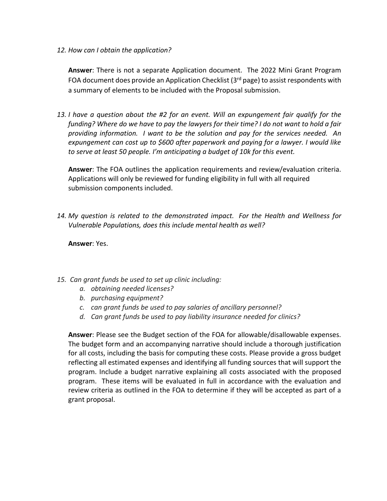#### *12. How can I obtain the application?*

**Answer**: There is not a separate Application document. The 2022 Mini Grant Program FOA document does provide an Application Checklist ( $3<sup>rd</sup>$  page) to assist respondents with a summary of elements to be included with the Proposal submission.

*13. I have a question about the #2 for an event. Will an expungement fair qualify for the funding? Where do we have to pay the lawyers for their time? I do not want to hold a fair providing information. I want to be the solution and pay for the services needed. An expungement can cost up to \$600 after paperwork and paying for a lawyer. I would like to serve at least 50 people. I'm anticipating a budget of 10k for this event.*

**Answer**: The FOA outlines the application requirements and review/evaluation criteria. Applications will only be reviewed for funding eligibility in full with all required submission components included.

*14. My question is related to the demonstrated impact. For the Health and Wellness for Vulnerable Populations, does this include mental health as well?* 

**Answer**: Yes.

- *15. Can grant funds be used to set up clinic including:*
	- *a. obtaining needed licenses?*
	- *b. purchasing equipment?*
	- *c. can grant funds be used to pay salaries of ancillary personnel?*
	- *d. Can grant funds be used to pay liability insurance needed for clinics?*

**Answer**: Please see the Budget section of the FOA for allowable/disallowable expenses. The budget form and an accompanying narrative should include a thorough justification for all costs, including the basis for computing these costs. Please provide a gross budget reflecting all estimated expenses and identifying all funding sources that will support the program. Include a budget narrative explaining all costs associated with the proposed program. These items will be evaluated in full in accordance with the evaluation and review criteria as outlined in the FOA to determine if they will be accepted as part of a grant proposal.